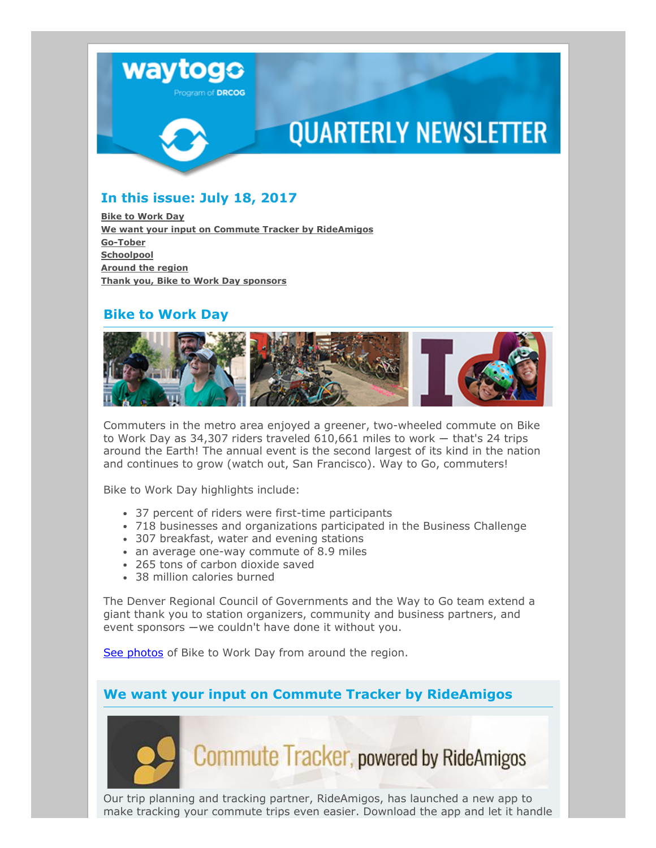

# **QUARTERLY NEWSLETTER**

## In this issue: July 18, 2017

Bike to [Work](#page-0-0) Day We want your input on Commute Tracker by [RideAmigos](#page-0-1) [Go-Tober](#page-1-0) **[Schoolpool](#page-1-1)** [Around](#page-1-2) the region Thank you, Bike to Work Day [sponsors](#page-2-0)

### Bike to Work Day

<span id="page-0-0"></span>

Commuters in the metro area enjoyed a greener, two-wheeled commute on Bike to Work Day as 34,307 riders traveled  $610,661$  miles to work  $-$  that's 24 trips around the Earth! The annual event is the second largest of its kind in the nation and continues to grow (watch out, San Francisco). Way to Go, commuters!

Bike to Work Day highlights include:

- 37 percent of riders were first-time participants
- 718 businesses and organizations participated in the Business Challenge
- 307 breakfast, water and evening stations
- an average one-way commute of 8.9 miles
- 265 tons of carbon dioxide saved
- 38 million calories burned

The Denver Regional Council of Governments and the Way to Go team extend a giant thank you to station organizers, community and business partners, and event sponsors  $-$ we couldn't have done it without you.

See [photos](https://www.flickr.com/photos/44212779@N08/albums/72157685706497765) of Bike to Work Day from around the region.

We want your input on Commute Tracker by RideAmigos

<span id="page-0-1"></span>

**Commute Tracker, powered by RideAmigos** 

Our trip planning and tracking partner, RideAmigos, has launched a new app to make tracking your commute trips even easier. Download the app and let it handle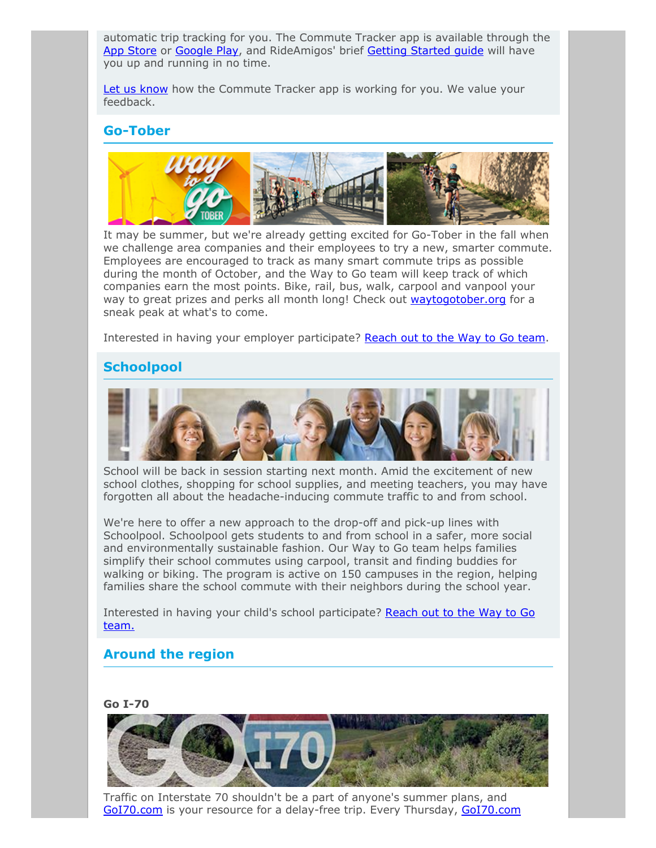automatic trip tracking for you. The Commute Tracker app is available through the App [Store](https://itunes.apple.com/us/app/commute-tracker-by-rideamigos/id1108794526?mt=8) or [Google](https://play.google.com/store/apps/details?id=com.rideamigos.astro&hl=en) Play, and RideAmigos' brief Getting [Started](https://help.rideamigos.com/using-commute-tracker-app/) quide will have you up and running in no time.

Let us [know](mailto:waytogo@drcog.org) how the Commute Tracker app is working for you. We value your feedback.

### Go-Tober

<span id="page-1-0"></span>

It may be summer, but we're already getting excited for Go-Tober in the fall when we challenge area companies and their employees to try a new, smarter commute. Employees are encouraged to track as many smart commute trips as possible during the month of October, and the Way to Go team will keep track of which companies earn the most points. Bike, rail, bus, walk, carpool and vanpool your way to great prizes and perks all month long! Check out [waytogotober.org](http://waytogotober.org/) for a sneak peak at what's to come.

Interested in having your employer participate? [Reach](mailto:waytogo@drcog.org) out to the Way to Go team.

### Schoolpool

<span id="page-1-1"></span>

School will be back in session starting next month. Amid the excitement of new school clothes, shopping for school supplies, and meeting teachers, you may have forgotten all about the headache-inducing commute traffic to and from school.

We're here to offer a new approach to the drop-off and pick-up lines with Schoolpool. Schoolpool gets students to and from school in a safer, more social and environmentally sustainable fashion. Our Way to Go team helps families simplify their school commutes using carpool, transit and finding buddies for walking or biking. The program is active on 150 campuses in the region, helping families share the school commute with their neighbors during the school year.

Interested in having your child's school [participate?](mailto:waytogo@drcog.org) Reach out to the Way to Go team.

#### <span id="page-1-2"></span>Around the region

#### Go I-70



Traffic on Interstate 70 shouldn't be a part of anyone's summer plans, and [GoI70.com](https://goi70.com/) is your resource for a delay-free trip. Every Thursday, GoI70.com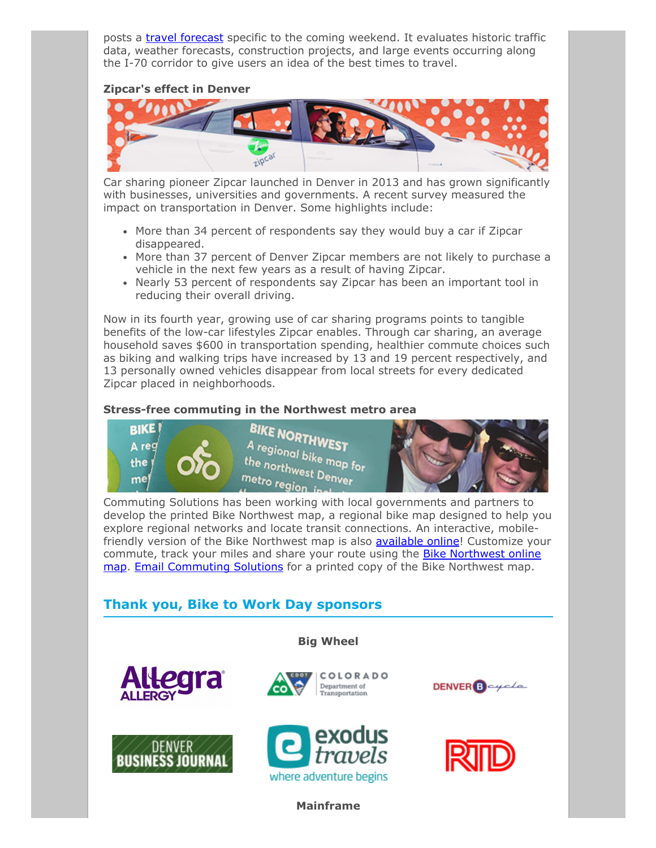posts a travel [forecast](https://goi70.com/travel) specific to the coming weekend. It evaluates historic traffic data, weather forecasts, construction projects, and large events occurring along the I-70 corridor to give users an idea of the best times to travel.

#### Zipcar's effect in Denver



Car sharing pioneer Zipcar launched in Denver in 2013 and has grown significantly with businesses, universities and governments. A recent survey measured the impact on transportation in Denver. Some highlights include:

- More than 34 percent of respondents say they would buy a car if Zipcar disappeared.
- More than 37 percent of Denver Zipcar members are not likely to purchase a vehicle in the next few years as a result of having Zipcar.
- Nearly 53 percent of respondents say Zipcar has been an important tool in reducing their overall driving.

Now in its fourth year, growing use of car sharing programs points to tangible benefits of the low-car lifestyles Zipcar enables. Through car sharing, an average household saves \$600 in transportation spending, healthier commute choices such as biking and walking trips have increased by 13 and 19 percent respectively, and 13 personally owned vehicles disappear from local streets for every dedicated Zipcar placed in neighborhoods.

#### Stress-free commuting in the Northwest metro area



Commuting Solutions has been working with local governments and partners to develop the printed Bike Northwest map, a regional bike map designed to help you explore regional networks and locate transit connections. An interactive, mobilefriendly version of the Bike Northwest map is also **[available](http://commutingsolutions.org/commute-options/bike/bikemap/) online**! Customize your commute, track your miles and share your route using the **Bike Northwest online** map. Email [Commuting](http://commutingsolutions.org/commute-options/bike/bikemap/) Solutions for a printed copy of the Bike Northwest map.

## <span id="page-2-0"></span>Thank you, Bike to Work Day sponsors

co

Big Wheel

COLORADO Department of<br>Transportation











Mainframe